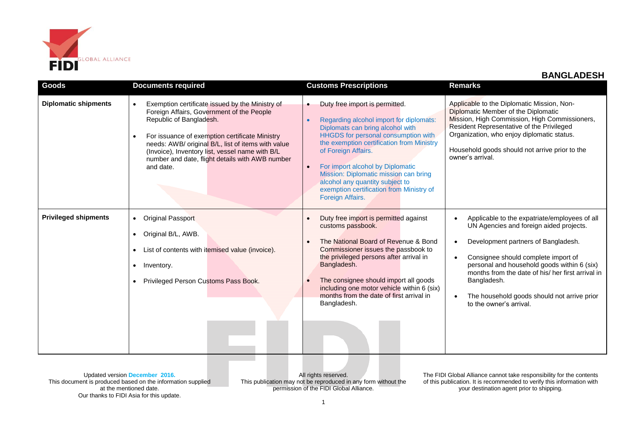

| <b>Goods</b>                | <b>Documents required</b>                                                                                                                                                                                                                                                                                                                                       | <b>Customs Prescriptions</b>                                                                                                                                                                                                                                                                                                                                                                                                                    | <b>Remarks</b>                                                                                                                                                                                                                                                                                                                                                      |
|-----------------------------|-----------------------------------------------------------------------------------------------------------------------------------------------------------------------------------------------------------------------------------------------------------------------------------------------------------------------------------------------------------------|-------------------------------------------------------------------------------------------------------------------------------------------------------------------------------------------------------------------------------------------------------------------------------------------------------------------------------------------------------------------------------------------------------------------------------------------------|---------------------------------------------------------------------------------------------------------------------------------------------------------------------------------------------------------------------------------------------------------------------------------------------------------------------------------------------------------------------|
| <b>Diplomatic shipments</b> | Exemption certificate issued by the Ministry of<br>$\bullet$<br>Foreign Affairs, Government of the People<br>Republic of Bangladesh.<br>For issuance of exemption certificate Ministry<br>needs: AWB/ original B/L, list of items with value<br>(Invoice), Inventory list, vessel name with B/L<br>number and date, flight details with AWB number<br>and date. | Duty free import is permitted.<br>$\bullet$<br>Regarding alcohol import for diplomats:<br>$\bullet$<br>Diplomats can bring alcohol with<br>HHGDS for personal consumption with<br>the exemption certification from Ministry<br>of Foreign Affairs.<br>For import alcohol by Diplomatic<br>$\bullet$<br>Mission: Diplomatic mission can bring<br>alcohol any quantity subject to<br>exemption certification from Ministry of<br>Foreign Affairs. | Applicable to the Diplomatic Mission, Non-<br>Diplomatic Member of the Diplomatic<br>Mission, High Commission, High Commissioners,<br>Resident Representative of the Privileged<br>Organization, who enjoy diplomatic status.<br>Household goods should not arrive prior to the<br>owner's arrival.                                                                 |
| <b>Privileged shipments</b> | <b>Original Passport</b><br>$\bullet$<br>Original B/L, AWB.<br>List of contents with itemised value (invoice).<br>Inventory.<br>Privileged Person Customs Pass Book.                                                                                                                                                                                            | Duty free import is permitted against<br>customs passbook.<br>The National Board of Revenue & Bond<br>Commissioner issues the passbook to<br>the privileged persons after arrival in<br>Bangladesh.<br>The consignee should import all goods<br>including one motor vehicle within 6 (six)<br>months from the date of first arrival in<br>Bangladesh.                                                                                           | Applicable to the expatriate/employees of all<br>UN Agencies and foreign aided projects.<br>Development partners of Bangladesh.<br>Consignee should complete import of<br>personal and household goods within 6 (six)<br>months from the date of his/ her first arrival in<br>Bangladesh.<br>The household goods should not arrive prior<br>to the owner's arrival. |

All rights reserved. This publication may not be reproduced in any form without the permission of the FIDI Global Alliance.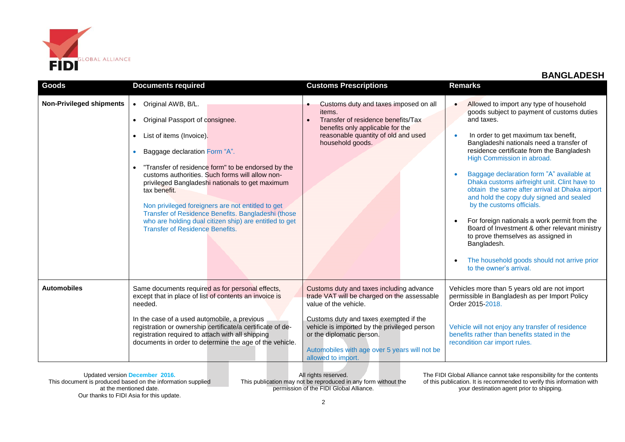

| Goods                           | <b>Documents required</b>                                                                                                                                                                                                                                                                                                                                                                                                                                                                                                                                         | <b>Customs Prescriptions</b>                                                                                                                                                                                                                                                                                   | <b>Remarks</b>                                                                                                                                                                                                                                                                                                                                                                                                                                                                                                                                                                                                                                                                                                             |
|---------------------------------|-------------------------------------------------------------------------------------------------------------------------------------------------------------------------------------------------------------------------------------------------------------------------------------------------------------------------------------------------------------------------------------------------------------------------------------------------------------------------------------------------------------------------------------------------------------------|----------------------------------------------------------------------------------------------------------------------------------------------------------------------------------------------------------------------------------------------------------------------------------------------------------------|----------------------------------------------------------------------------------------------------------------------------------------------------------------------------------------------------------------------------------------------------------------------------------------------------------------------------------------------------------------------------------------------------------------------------------------------------------------------------------------------------------------------------------------------------------------------------------------------------------------------------------------------------------------------------------------------------------------------------|
| <b>Non-Privileged shipments</b> | Original AWB, B/L.<br>$\bullet$<br>Original Passport of consignee.<br>$\bullet$<br>List of items (Invoice).<br>$\bullet$<br>Baggage declaration Form "A".<br>"Transfer of residence form" to be endorsed by the<br>$\bullet$<br>customs authorities. Such forms will allow non-<br>privileged Bangladeshi nationals to get maximum<br>tax benefit.<br>Non privileged foreigners are not entitled to get<br>Transfer of Residence Benefits. Bangladeshi (those<br>who are holding dual citizen ship) are entitled to get<br><b>Transfer of Residence Benefits.</b> | Customs duty and taxes imposed on all<br>items.<br>Transfer of residence benefits/Tax<br>benefits only applicable for the<br>reasonable quantity of old and used<br>household goods.                                                                                                                           | Allowed to import any type of household<br>goods subject to payment of customs duties<br>and taxes.<br>In order to get maximum tax benefit,<br>Bangladeshi nationals need a transfer of<br>residence certificate from the Bangladesh<br>High Commission in abroad.<br>Baggage declaration form "A" available at<br>Dhaka customs airfreight unit. Clint have to<br>obtain the same after arrival at Dhaka airport<br>and hold the copy duly signed and sealed<br>by the customs officials.<br>For foreign nationals a work permit from the<br>Board of Investment & other relevant ministry<br>to prove themselves as assigned in<br>Bangladesh.<br>The household goods should not arrive prior<br>to the owner's arrival. |
| <b>Automobiles</b>              | Same documents required as for personal effects,<br>except that in place of list of contents an invoice is<br>needed.<br>In the case of a used automobile, a previous<br>registration or ownership certificate/a certificate of de-<br>registration required to attach with all shipping<br>documents in order to determine the age of the vehicle.                                                                                                                                                                                                               | Customs duty and taxes including advance<br>trade VAT will be charged on the assessable<br>value of the vehicle.<br>Customs duty and taxes exempted if the<br>vehicle is imported by the privileged person<br>or the diplomatic person.<br>Automobiles with age over 5 years will not be<br>allowed to import. | Vehicles more than 5 years old are not import<br>permissible in Bangladesh as per Import Policy<br>Order 2015-2018.<br>Vehicle will not enjoy any transfer of residence<br>benefits rather than benefits stated in the<br>recondition car import rules.                                                                                                                                                                                                                                                                                                                                                                                                                                                                    |

Updated version **December 2016.** This document is produced based on the information supplied at the mentioned date. Our thanks to FIDI Asia for this update.

All rights reserved. This publication may not be reproduced in any form without the permission of the FIDI Global Alliance.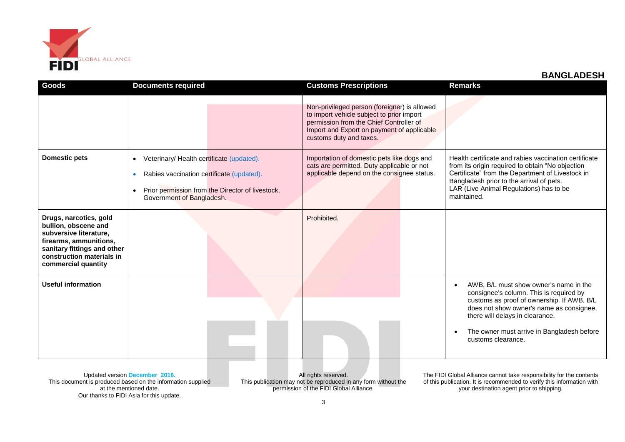

| Goods                                                                                                                                                                                 | <b>Documents required</b>                                                                                                                                                                         | <b>Customs Prescriptions</b>                                                                                                                                                                                  | <b>Remarks</b>                                                                                                                                                                                                                                                                     |
|---------------------------------------------------------------------------------------------------------------------------------------------------------------------------------------|---------------------------------------------------------------------------------------------------------------------------------------------------------------------------------------------------|---------------------------------------------------------------------------------------------------------------------------------------------------------------------------------------------------------------|------------------------------------------------------------------------------------------------------------------------------------------------------------------------------------------------------------------------------------------------------------------------------------|
|                                                                                                                                                                                       |                                                                                                                                                                                                   | Non-privileged person (foreigner) is allowed<br>to import vehicle subject to prior import<br>permission from the Chief Controller of<br>Import and Export on payment of applicable<br>customs duty and taxes. |                                                                                                                                                                                                                                                                                    |
| <b>Domestic pets</b>                                                                                                                                                                  | Veterinary/ Health certificate (updated).<br>$\bullet$<br>Rabies vaccination certificate (updated).<br>Prior permission from the Director of livestock,<br>$\bullet$<br>Government of Bangladesh. | Importation of domestic pets like dogs and<br>cats are permitted. Duty applicable or not<br>applicable depend on the consignee status.                                                                        | Health certificate and rabies vaccination certificate<br>from its origin required to obtain "No objection<br>Certificate" from the Department of Livestock in<br>Bangladesh prior to the arrival of pets.<br>LAR (Live Animal Regulations) has to be<br>maintained.                |
| Drugs, narcotics, gold<br>bullion, obscene and<br>subversive literature,<br>firearms, ammunitions,<br>sanitary fittings and other<br>construction materials in<br>commercial quantity |                                                                                                                                                                                                   | Prohibited.                                                                                                                                                                                                   |                                                                                                                                                                                                                                                                                    |
| <b>Useful information</b>                                                                                                                                                             |                                                                                                                                                                                                   |                                                                                                                                                                                                               | AWB, B/L must show owner's name in the<br>consignee's column. This is required by<br>customs as proof of ownership. If AWB, B/L<br>does not show owner's name as consignee,<br>there will delays in clearance.<br>The owner must arrive in Bangladesh before<br>customs clearance. |

Updated version **December 2016.** This document is produced based on the information supplied at the mentioned date. Our thanks to FIDI Asia for this update.

All rights reserved. This publication may not be reproduced in any form without the permission of the FIDI Global Alliance.